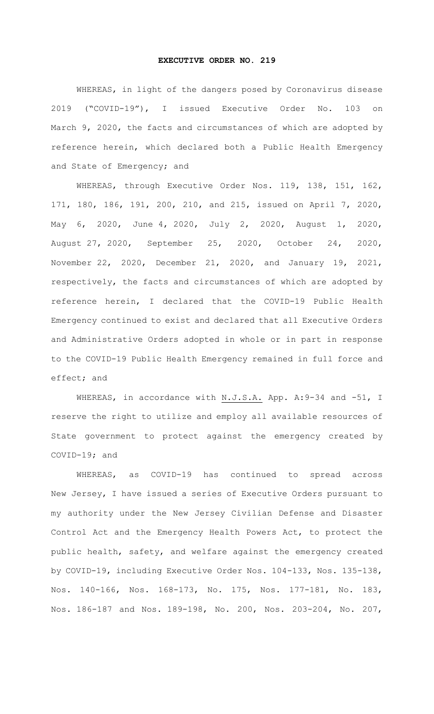## **EXECUTIVE ORDER NO. 219**

WHEREAS, in light of the dangers posed by Coronavirus disease 2019 ("COVID-19"), I issued Executive Order No. 103 on March 9, 2020, the facts and circumstances of which are adopted by reference herein, which declared both a Public Health Emergency and State of Emergency; and

WHEREAS, through Executive Order Nos. 119, 138, 151, 162, 171, 180, 186, 191, 200, 210, and 215, issued on April 7, 2020, May 6, 2020, June 4, 2020, July 2, 2020, August 1, 2020, August 27, 2020, September 25, 2020, October 24, 2020, November 22, 2020, December 21, 2020, and January 19, 2021, respectively, the facts and circumstances of which are adopted by reference herein, I declared that the COVID-19 Public Health Emergency continued to exist and declared that all Executive Orders and Administrative Orders adopted in whole or in part in response to the COVID-19 Public Health Emergency remained in full force and effect; and

WHEREAS, in accordance with N.J.S.A. App. A: 9-34 and -51, I reserve the right to utilize and employ all available resources of State government to protect against the emergency created by COVID-19; and

WHEREAS, as COVID-19 has continued to spread across New Jersey, I have issued a series of Executive Orders pursuant to my authority under the New Jersey Civilian Defense and Disaster Control Act and the Emergency Health Powers Act, to protect the public health, safety, and welfare against the emergency created by COVID-19, including Executive Order Nos. 104-133, Nos. 135-138, Nos. 140-166, Nos. 168-173, No. 175, Nos. 177-181, No. 183, Nos. 186-187 and Nos. 189-198, No. 200, Nos. 203-204, No. 207,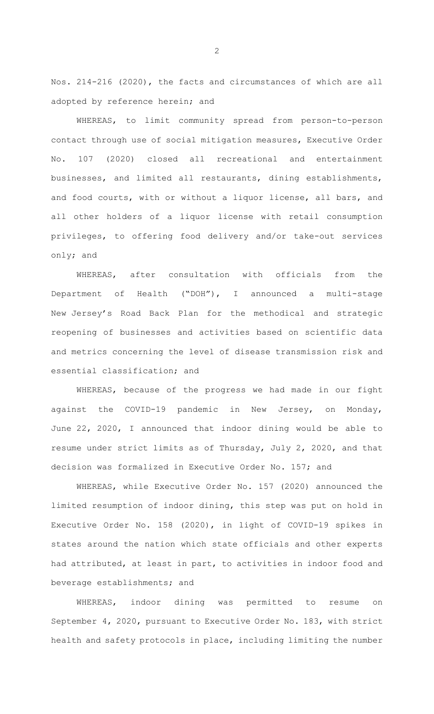Nos. 214-216 (2020), the facts and circumstances of which are all adopted by reference herein; and

WHEREAS, to limit community spread from person-to-person contact through use of social mitigation measures, Executive Order No. 107 (2020) closed all recreational and entertainment businesses, and limited all restaurants, dining establishments, and food courts, with or without a liquor license, all bars, and all other holders of a liquor license with retail consumption privileges, to offering food delivery and/or take-out services only; and

WHEREAS, after consultation with officials from the Department of Health ("DOH"), I announced a multi-stage New Jersey's Road Back Plan for the methodical and strategic reopening of businesses and activities based on scientific data and metrics concerning the level of disease transmission risk and essential classification; and

WHEREAS, because of the progress we had made in our fight against the COVID-19 pandemic in New Jersey, on Monday, June 22, 2020, I announced that indoor dining would be able to resume under strict limits as of Thursday, July 2, 2020, and that decision was formalized in Executive Order No. 157; and

WHEREAS, while Executive Order No. 157 (2020) announced the limited resumption of indoor dining, this step was put on hold in Executive Order No. 158 (2020), in light of COVID-19 spikes in states around the nation which state officials and other experts had attributed, at least in part, to activities in indoor food and beverage establishments; and

WHEREAS, indoor dining was permitted to resume on September 4, 2020, pursuant to Executive Order No. 183, with strict health and safety protocols in place, including limiting the number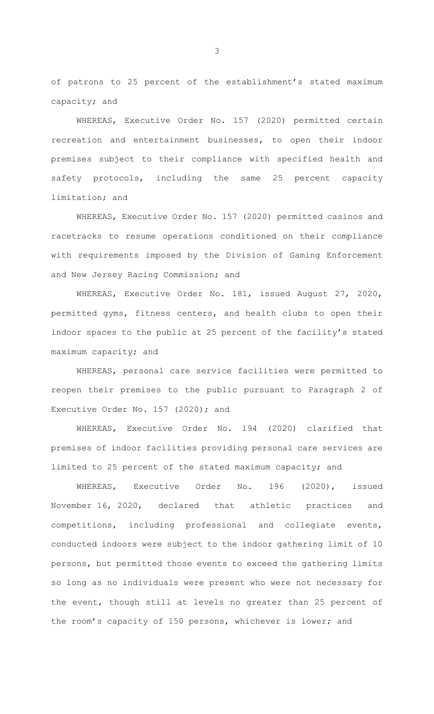of patrons to 25 percent of the establishment's stated maximum capacity; and

WHEREAS, Executive Order No. 157 (2020) permitted certain recreation and entertainment businesses, to open their indoor premises subject to their compliance with specified health and safety protocols, including the same 25 percent capacity limitation; and

WHEREAS, Executive Order No. 157 (2020) permitted casinos and racetracks to resume operations conditioned on their compliance with requirements imposed by the Division of Gaming Enforcement and New Jersey Racing Commission; and

WHEREAS, Executive Order No. 181, issued August 27, 2020, permitted gyms, fitness centers, and health clubs to open their indoor spaces to the public at 25 percent of the facility's stated maximum capacity; and

WHEREAS, personal care service facilities were permitted to reopen their premises to the public pursuant to Paragraph 2 of Executive Order No. 157 (2020); and

WHEREAS, Executive Order No. 194 (2020) clarified that premises of indoor facilities providing personal care services are limited to 25 percent of the stated maximum capacity; and

WHEREAS, Executive Order No. 196 (2020), issued November 16, 2020, declared that athletic practices and competitions, including professional and collegiate events, conducted indoors were subject to the indoor gathering limit of 10 persons, but permitted those events to exceed the gathering limits so long as no individuals were present who were not necessary for the event, though still at levels no greater than 25 percent of the room's capacity of 150 persons, whichever is lower; and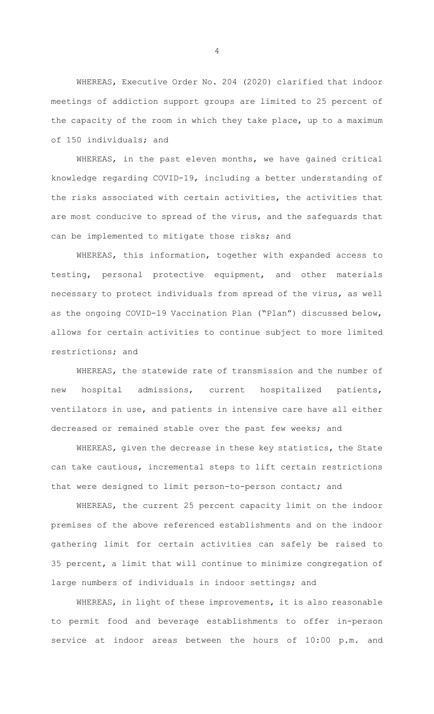WHEREAS, Executive Order No. 204 (2020) clarified that indoor meetings of addiction support groups are limited to 25 percent of the capacity of the room in which they take place, up to a maximum of 150 individuals; and

WHEREAS, in the past eleven months, we have gained critical knowledge regarding COVID-19, including a better understanding of the risks associated with certain activities, the activities that are most conducive to spread of the virus, and the safeguards that can be implemented to mitigate those risks; and

WHEREAS, this information, together with expanded access to testing, personal protective equipment, and other materials necessary to protect individuals from spread of the virus, as well as the ongoing COVID-19 Vaccination Plan ("Plan") discussed below, allows for certain activities to continue subject to more limited restrictions; and

WHEREAS, the statewide rate of transmission and the number of new hospital admissions, current hospitalized patients, ventilators in use, and patients in intensive care have all either decreased or remained stable over the past few weeks; and

WHEREAS, given the decrease in these key statistics, the State can take cautious, incremental steps to lift certain restrictions that were designed to limit person-to-person contact; and

WHEREAS, the current 25 percent capacity limit on the indoor premises of the above referenced establishments and on the indoor gathering limit for certain activities can safely be raised to 35 percent, a limit that will continue to minimize congregation of large numbers of individuals in indoor settings; and

WHEREAS, in light of these improvements, it is also reasonable to permit food and beverage establishments to offer in-person service at indoor areas between the hours of 10:00 p.m. and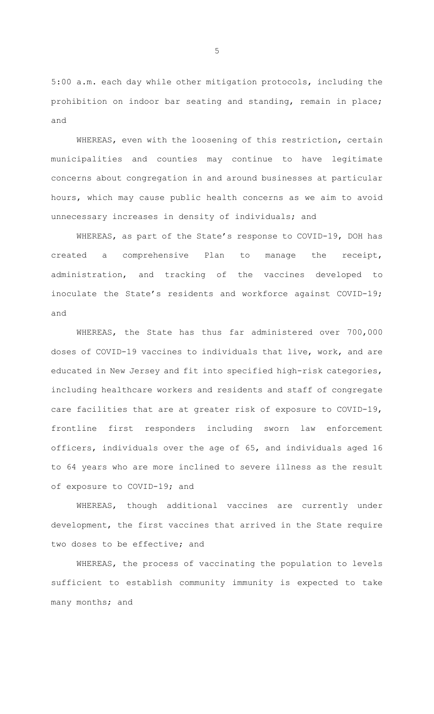5:00 a.m. each day while other mitigation protocols, including the prohibition on indoor bar seating and standing, remain in place; and

WHEREAS, even with the loosening of this restriction, certain municipalities and counties may continue to have legitimate concerns about congregation in and around businesses at particular hours, which may cause public health concerns as we aim to avoid unnecessary increases in density of individuals; and

WHEREAS, as part of the State's response to COVID-19, DOH has created a comprehensive Plan to manage the receipt, administration, and tracking of the vaccines developed to inoculate the State's residents and workforce against COVID-19; and

WHEREAS, the State has thus far administered over 700,000 doses of COVID-19 vaccines to individuals that live, work, and are educated in New Jersey and fit into specified high-risk categories, including healthcare workers and residents and staff of congregate care facilities that are at greater risk of exposure to COVID-19, frontline first responders including sworn law enforcement officers, individuals over the age of 65, and individuals aged 16 to 64 years who are more inclined to severe illness as the result of exposure to COVID-19; and

WHEREAS, though additional vaccines are currently under development, the first vaccines that arrived in the State require two doses to be effective; and

WHEREAS, the process of vaccinating the population to levels sufficient to establish community immunity is expected to take many months; and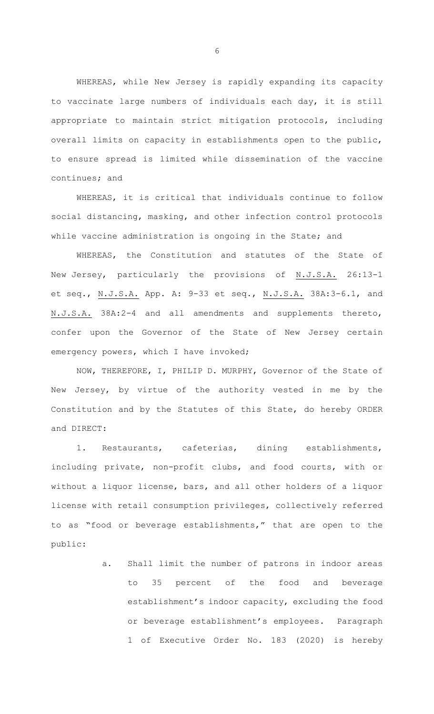WHEREAS, while New Jersey is rapidly expanding its capacity to vaccinate large numbers of individuals each day, it is still appropriate to maintain strict mitigation protocols, including overall limits on capacity in establishments open to the public, to ensure spread is limited while dissemination of the vaccine continues; and

WHEREAS, it is critical that individuals continue to follow social distancing, masking, and other infection control protocols while vaccine administration is ongoing in the State; and

WHEREAS, the Constitution and statutes of the State of New Jersey, particularly the provisions of N.J.S.A. 26:13-1 et seq., N.J.S.A. App. A: 9-33 et seq., N.J.S.A. 38A:3-6.1, and N.J.S.A. 38A:2-4 and all amendments and supplements thereto, confer upon the Governor of the State of New Jersey certain emergency powers, which I have invoked;

NOW, THEREFORE, I, PHILIP D. MURPHY, Governor of the State of New Jersey, by virtue of the authority vested in me by the Constitution and by the Statutes of this State, do hereby ORDER and DIRECT:

1. Restaurants, cafeterias, dining establishments, including private, non-profit clubs, and food courts, with or without a liquor license, bars, and all other holders of a liquor license with retail consumption privileges, collectively referred to as "food or beverage establishments," that are open to the public:

> a. Shall limit the number of patrons in indoor areas to 35 percent of the food and beverage establishment's indoor capacity, excluding the food or beverage establishment's employees. Paragraph 1 of Executive Order No. 183 (2020) is hereby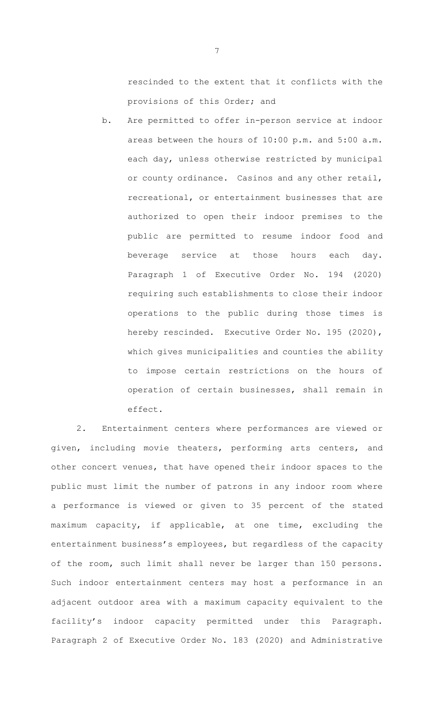rescinded to the extent that it conflicts with the provisions of this Order; and

b. Are permitted to offer in-person service at indoor areas between the hours of 10:00 p.m. and 5:00 a.m. each day, unless otherwise restricted by municipal or county ordinance. Casinos and any other retail, recreational, or entertainment businesses that are authorized to open their indoor premises to the public are permitted to resume indoor food and beverage service at those hours each day. Paragraph 1 of Executive Order No. 194 (2020) requiring such establishments to close their indoor operations to the public during those times is hereby rescinded. Executive Order No. 195 (2020), which gives municipalities and counties the ability to impose certain restrictions on the hours of operation of certain businesses, shall remain in effect.

2. Entertainment centers where performances are viewed or given, including movie theaters, performing arts centers, and other concert venues, that have opened their indoor spaces to the public must limit the number of patrons in any indoor room where a performance is viewed or given to 35 percent of the stated maximum capacity, if applicable, at one time, excluding the entertainment business's employees, but regardless of the capacity of the room, such limit shall never be larger than 150 persons. Such indoor entertainment centers may host a performance in an adjacent outdoor area with a maximum capacity equivalent to the facility's indoor capacity permitted under this Paragraph. Paragraph 2 of Executive Order No. 183 (2020) and Administrative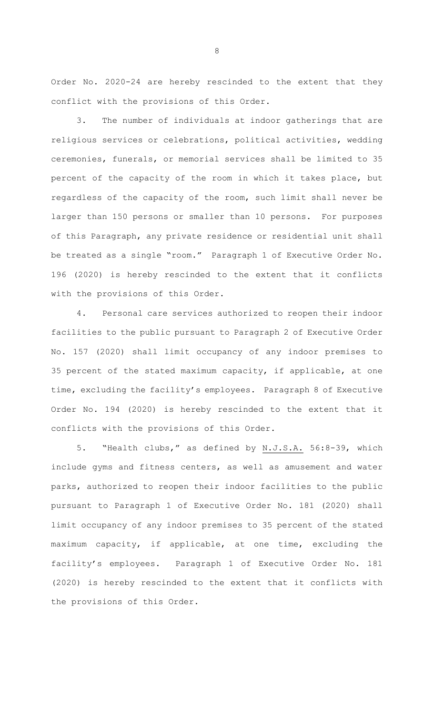Order No. 2020-24 are hereby rescinded to the extent that they conflict with the provisions of this Order.

3. The number of individuals at indoor gatherings that are religious services or celebrations, political activities, wedding ceremonies, funerals, or memorial services shall be limited to 35 percent of the capacity of the room in which it takes place, but regardless of the capacity of the room, such limit shall never be larger than 150 persons or smaller than 10 persons. For purposes of this Paragraph, any private residence or residential unit shall be treated as a single "room." Paragraph 1 of Executive Order No. 196 (2020) is hereby rescinded to the extent that it conflicts with the provisions of this Order.

4. Personal care services authorized to reopen their indoor facilities to the public pursuant to Paragraph 2 of Executive Order No. 157 (2020) shall limit occupancy of any indoor premises to 35 percent of the stated maximum capacity, if applicable, at one time, excluding the facility's employees. Paragraph 8 of Executive Order No. 194 (2020) is hereby rescinded to the extent that it conflicts with the provisions of this Order.

5. "Health clubs," as defined by N.J.S.A. 56:8-39, which include gyms and fitness centers, as well as amusement and water parks, authorized to reopen their indoor facilities to the public pursuant to Paragraph 1 of Executive Order No. 181 (2020) shall limit occupancy of any indoor premises to 35 percent of the stated maximum capacity, if applicable, at one time, excluding the facility's employees. Paragraph 1 of Executive Order No. 181 (2020) is hereby rescinded to the extent that it conflicts with the provisions of this Order.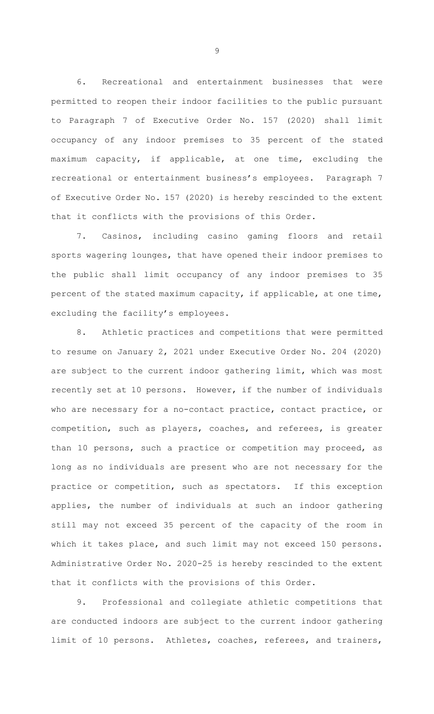6. Recreational and entertainment businesses that were permitted to reopen their indoor facilities to the public pursuant to Paragraph 7 of Executive Order No. 157 (2020) shall limit occupancy of any indoor premises to 35 percent of the stated maximum capacity, if applicable, at one time, excluding the recreational or entertainment business's employees. Paragraph 7 of Executive Order No. 157 (2020) is hereby rescinded to the extent that it conflicts with the provisions of this Order.

7. Casinos, including casino gaming floors and retail sports wagering lounges, that have opened their indoor premises to the public shall limit occupancy of any indoor premises to 35 percent of the stated maximum capacity, if applicable, at one time, excluding the facility's employees.

8. Athletic practices and competitions that were permitted to resume on January 2, 2021 under Executive Order No. 204 (2020) are subject to the current indoor gathering limit, which was most recently set at 10 persons. However, if the number of individuals who are necessary for a no-contact practice, contact practice, or competition, such as players, coaches, and referees, is greater than 10 persons, such a practice or competition may proceed, as long as no individuals are present who are not necessary for the practice or competition, such as spectators. If this exception applies, the number of individuals at such an indoor gathering still may not exceed 35 percent of the capacity of the room in which it takes place, and such limit may not exceed 150 persons. Administrative Order No. 2020-25 is hereby rescinded to the extent that it conflicts with the provisions of this Order.

9. Professional and collegiate athletic competitions that are conducted indoors are subject to the current indoor gathering limit of 10 persons. Athletes, coaches, referees, and trainers,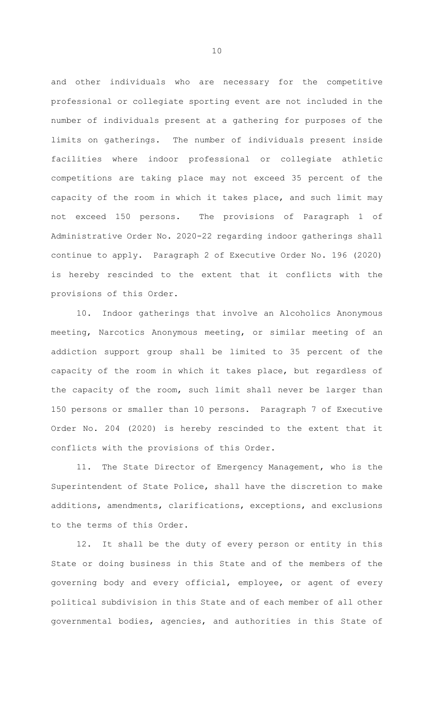and other individuals who are necessary for the competitive professional or collegiate sporting event are not included in the number of individuals present at a gathering for purposes of the limits on gatherings. The number of individuals present inside facilities where indoor professional or collegiate athletic competitions are taking place may not exceed 35 percent of the capacity of the room in which it takes place, and such limit may not exceed 150 persons. The provisions of Paragraph 1 of Administrative Order No. 2020-22 regarding indoor gatherings shall continue to apply. Paragraph 2 of Executive Order No. 196 (2020) is hereby rescinded to the extent that it conflicts with the provisions of this Order.

10. Indoor gatherings that involve an Alcoholics Anonymous meeting, Narcotics Anonymous meeting, or similar meeting of an addiction support group shall be limited to 35 percent of the capacity of the room in which it takes place, but regardless of the capacity of the room, such limit shall never be larger than 150 persons or smaller than 10 persons. Paragraph 7 of Executive Order No. 204 (2020) is hereby rescinded to the extent that it conflicts with the provisions of this Order.

11. The State Director of Emergency Management, who is the Superintendent of State Police, shall have the discretion to make additions, amendments, clarifications, exceptions, and exclusions to the terms of this Order.

12. It shall be the duty of every person or entity in this State or doing business in this State and of the members of the governing body and every official, employee, or agent of every political subdivision in this State and of each member of all other governmental bodies, agencies, and authorities in this State of